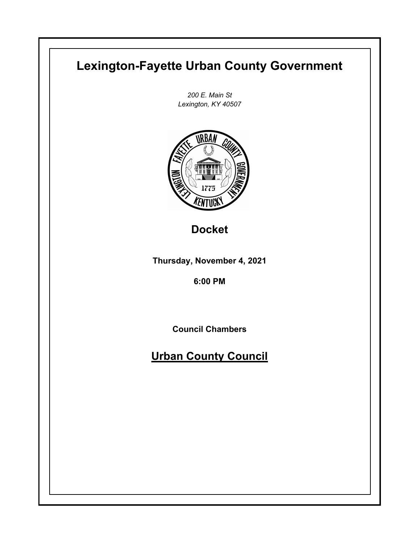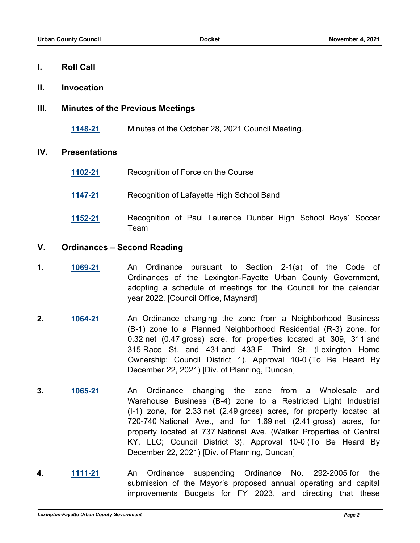#### **I. Roll Call**

**II. Invocation**

# **III. Minutes of the Previous Meetings**

**[1148-21](http://lexington.legistar.com/gateway.aspx?m=l&id=/matter.aspx?key=18132)** Minutes of the October 28, 2021 Council Meeting.

## **IV. Presentations**

- **[1102-21](http://lexington.legistar.com/gateway.aspx?m=l&id=/matter.aspx?key=18086)** Recognition of Force on the Course
- **[1147-21](http://lexington.legistar.com/gateway.aspx?m=l&id=/matter.aspx?key=18131)** Recognition of Lafayette High School Band
- **[1152-21](http://lexington.legistar.com/gateway.aspx?m=l&id=/matter.aspx?key=18136)** Recognition of Paul Laurence Dunbar High School Boys' Soccer Team

## **V. Ordinances – Second Reading**

- **1. [1069-21](http://lexington.legistar.com/gateway.aspx?m=l&id=/matter.aspx?key=18053)** An Ordinance pursuant to Section 2-1(a) of the Code of Ordinances of the Lexington-Fayette Urban County Government, adopting a schedule of meetings for the Council for the calendar year 2022. [Council Office, Maynard]
- **2. [1064-21](http://lexington.legistar.com/gateway.aspx?m=l&id=/matter.aspx?key=18048)** An Ordinance changing the zone from a Neighborhood Business (B-1) zone to a Planned Neighborhood Residential (R-3) zone, for 0.32 net (0.47 gross) acre, for properties located at 309, 311 and 315 Race St. and 431 and 433 E. Third St. (Lexington Home Ownership; Council District 1). Approval 10-0 (To Be Heard By December 22, 2021) [Div. of Planning, Duncan]
- **3. [1065-21](http://lexington.legistar.com/gateway.aspx?m=l&id=/matter.aspx?key=18049)** An Ordinance changing the zone from a Wholesale and Warehouse Business (B-4) zone to a Restricted Light Industrial (I-1) zone, for 2.33 net (2.49 gross) acres, for property located at 720-740 National Ave., and for 1.69 net (2.41 gross) acres, for property located at 737 National Ave. (Walker Properties of Central KY, LLC; Council District 3). Approval 10-0 (To Be Heard By December 22, 2021) [Div. of Planning, Duncan]
- **4. [1111-21](http://lexington.legistar.com/gateway.aspx?m=l&id=/matter.aspx?key=18095)** An Ordinance suspending Ordinance No. 292-2005 for the submission of the Mayor's proposed annual operating and capital improvements Budgets for FY 2023, and directing that these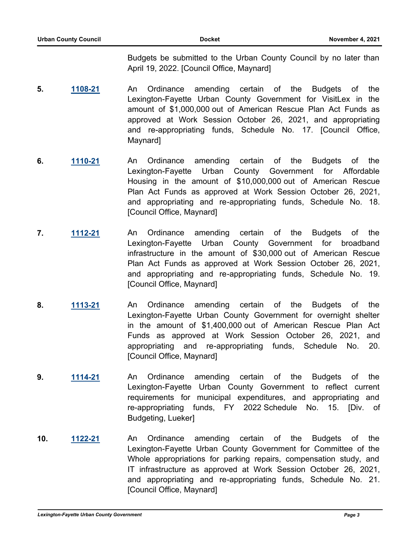Budgets be submitted to the Urban County Council by no later than April 19, 2022. [Council Office, Maynard]

- **5. [1108-21](http://lexington.legistar.com/gateway.aspx?m=l&id=/matter.aspx?key=18092)** An Ordinance amending certain of the Budgets of the Lexington-Fayette Urban County Government for VisitLex in the amount of \$1,000,000 out of American Rescue Plan Act Funds as approved at Work Session October 26, 2021, and appropriating and re-appropriating funds, Schedule No. 17. [Council Office, Maynard]
- **6. [1110-21](http://lexington.legistar.com/gateway.aspx?m=l&id=/matter.aspx?key=18094)** An Ordinance amending certain of the Budgets of the Lexington-Fayette Urban County Government for Affordable Housing in the amount of \$10,000,000 out of American Rescue Plan Act Funds as approved at Work Session October 26, 2021, and appropriating and re-appropriating funds, Schedule No. 18. [Council Office, Maynard]
- **7. [1112-21](http://lexington.legistar.com/gateway.aspx?m=l&id=/matter.aspx?key=18096)** An Ordinance amending certain of the Budgets of the Lexington-Fayette Urban County Government for broadband infrastructure in the amount of \$30,000 out of American Rescue Plan Act Funds as approved at Work Session October 26, 2021, and appropriating and re-appropriating funds, Schedule No. 19. [Council Office, Maynard]
- **8. [1113-21](http://lexington.legistar.com/gateway.aspx?m=l&id=/matter.aspx?key=18097)** An Ordinance amending certain of the Budgets of the Lexington-Fayette Urban County Government for overnight shelter in the amount of \$1,400,000 out of American Rescue Plan Act Funds as approved at Work Session October 26, 2021, and appropriating and re-appropriating funds, Schedule No. 20. [Council Office, Maynard]
- **9. [1114-21](http://lexington.legistar.com/gateway.aspx?m=l&id=/matter.aspx?key=18098)** An Ordinance amending certain of the Budgets of the Lexington-Fayette Urban County Government to reflect current requirements for municipal expenditures, and appropriating and re-appropriating funds, FY 2022 Schedule No. 15. [Div. of Budgeting, Lueker]
- **10. [1122-21](http://lexington.legistar.com/gateway.aspx?m=l&id=/matter.aspx?key=18106)** An Ordinance amending certain of the Budgets of the Lexington-Fayette Urban County Government for Committee of the Whole appropriations for parking repairs, compensation study, and IT infrastructure as approved at Work Session October 26, 2021, and appropriating and re-appropriating funds, Schedule No. 21. [Council Office, Maynard]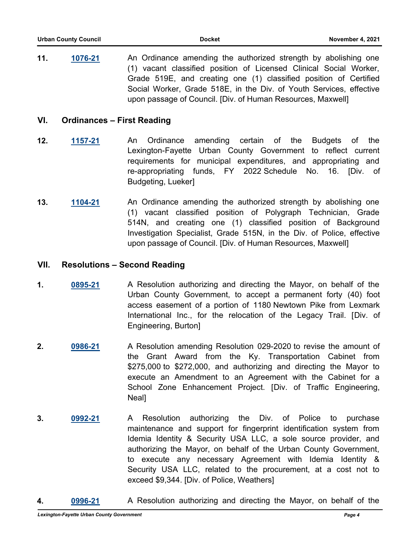**11. [1076-21](http://lexington.legistar.com/gateway.aspx?m=l&id=/matter.aspx?key=18060)** An Ordinance amending the authorized strength by abolishing one (1) vacant classified position of Licensed Clinical Social Worker, Grade 519E, and creating one (1) classified position of Certified Social Worker, Grade 518E, in the Div. of Youth Services, effective upon passage of Council. [Div. of Human Resources, Maxwell]

#### **VI. Ordinances – First Reading**

- **12. [1157-21](http://lexington.legistar.com/gateway.aspx?m=l&id=/matter.aspx?key=18141)** An Ordinance amending certain of the Budgets of the Lexington-Fayette Urban County Government to reflect current requirements for municipal expenditures, and appropriating and re-appropriating funds, FY 2022 Schedule No. 16. [Div. of Budgeting, Lueker]
- **13. [1104-21](http://lexington.legistar.com/gateway.aspx?m=l&id=/matter.aspx?key=18088)** An Ordinance amending the authorized strength by abolishing one (1) vacant classified position of Polygraph Technician, Grade 514N, and creating one (1) classified position of Background Investigation Specialist, Grade 515N, in the Div. of Police, effective upon passage of Council. [Div. of Human Resources, Maxwell]

#### **VII. Resolutions – Second Reading**

- **1. [0895-21](http://lexington.legistar.com/gateway.aspx?m=l&id=/matter.aspx?key=17879)** A Resolution authorizing and directing the Mayor, on behalf of the Urban County Government, to accept a permanent forty (40) foot access easement of a portion of 1180 Newtown Pike from Lexmark International Inc., for the relocation of the Legacy Trail. [Div. of Engineering, Burton]
- **2. [0986-21](http://lexington.legistar.com/gateway.aspx?m=l&id=/matter.aspx?key=17970)** A Resolution amending Resolution 029-2020 to revise the amount of the Grant Award from the Ky. Transportation Cabinet from \$275,000 to \$272,000, and authorizing and directing the Mayor to execute an Amendment to an Agreement with the Cabinet for a School Zone Enhancement Project. [Div. of Traffic Engineering, Neal]
- **3. [0992-21](http://lexington.legistar.com/gateway.aspx?m=l&id=/matter.aspx?key=17976)** A Resolution authorizing the Div. of Police to purchase maintenance and support for fingerprint identification system from Idemia Identity & Security USA LLC, a sole source provider, and authorizing the Mayor, on behalf of the Urban County Government, to execute any necessary Agreement with Idemia Identity & Security USA LLC, related to the procurement, at a cost not to exceed \$9,344. [Div. of Police, Weathers]
- **4. [0996-21](http://lexington.legistar.com/gateway.aspx?m=l&id=/matter.aspx?key=17980)** A Resolution authorizing and directing the Mayor, on behalf of the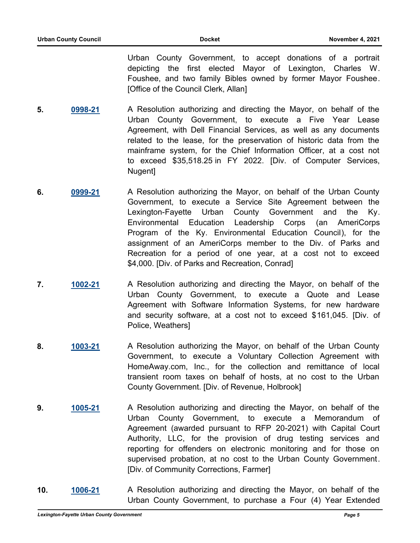Urban County Government, to accept donations of a portrait depicting the first elected Mayor of Lexington, Charles W. Foushee, and two family Bibles owned by former Mayor Foushee. [Office of the Council Clerk, Allan]

- **5. [0998-21](http://lexington.legistar.com/gateway.aspx?m=l&id=/matter.aspx?key=17982)** A Resolution authorizing and directing the Mayor, on behalf of the Urban County Government, to execute a Five Year Lease Agreement, with Dell Financial Services, as well as any documents related to the lease, for the preservation of historic data from the mainframe system, for the Chief Information Officer, at a cost not to exceed \$35,518.25 in FY 2022. [Div. of Computer Services, Nugent]
- **6. [0999-21](http://lexington.legistar.com/gateway.aspx?m=l&id=/matter.aspx?key=17983)** A Resolution authorizing the Mayor, on behalf of the Urban County Government, to execute a Service Site Agreement between the Lexington-Fayette Urban County Government and the Ky. Environmental Education Leadership Corps (an AmeriCorps Program of the Ky. Environmental Education Council), for the assignment of an AmeriCorps member to the Div. of Parks and Recreation for a period of one year, at a cost not to exceed \$4,000. [Div. of Parks and Recreation, Conrad]
- **7. [1002-21](http://lexington.legistar.com/gateway.aspx?m=l&id=/matter.aspx?key=17986)** A Resolution authorizing and directing the Mayor, on behalf of the Urban County Government, to execute a Quote and Lease Agreement with Software Information Systems, for new hardware and security software, at a cost not to exceed \$161,045. [Div. of Police, Weathers]
- **8. [1003-21](http://lexington.legistar.com/gateway.aspx?m=l&id=/matter.aspx?key=17987)** A Resolution authorizing the Mayor, on behalf of the Urban County Government, to execute a Voluntary Collection Agreement with HomeAway.com, Inc., for the collection and remittance of local transient room taxes on behalf of hosts, at no cost to the Urban County Government. [Div. of Revenue, Holbrook]
- **9. [1005-21](http://lexington.legistar.com/gateway.aspx?m=l&id=/matter.aspx?key=17989)** A Resolution authorizing and directing the Mayor, on behalf of the Urban County Government, to execute a Memorandum of Agreement (awarded pursuant to RFP 20-2021) with Capital Court Authority, LLC, for the provision of drug testing services and reporting for offenders on electronic monitoring and for those on supervised probation, at no cost to the Urban County Government. [Div. of Community Corrections, Farmer]
- **10. [1006-21](http://lexington.legistar.com/gateway.aspx?m=l&id=/matter.aspx?key=17990)** A Resolution authorizing and directing the Mayor, on behalf of the Urban County Government, to purchase a Four (4) Year Extended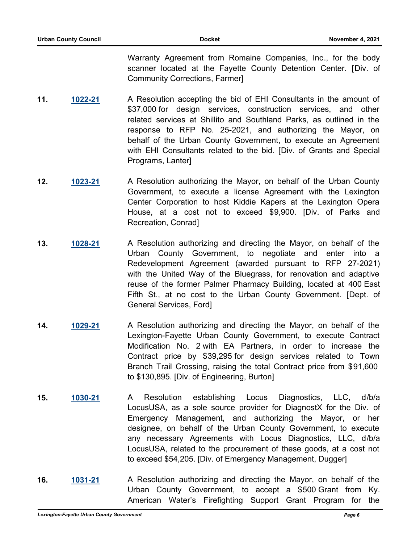Warranty Agreement from Romaine Companies, Inc., for the body scanner located at the Fayette County Detention Center. [Div. of Community Corrections, Farmer]

- **11. [1022-21](http://lexington.legistar.com/gateway.aspx?m=l&id=/matter.aspx?key=18006)** A Resolution accepting the bid of EHI Consultants in the amount of \$37,000 for design services, construction services, and other related services at Shillito and Southland Parks, as outlined in the response to RFP No. 25-2021, and authorizing the Mayor, on behalf of the Urban County Government, to execute an Agreement with EHI Consultants related to the bid. [Div. of Grants and Special Programs, Lanter]
- **12. [1023-21](http://lexington.legistar.com/gateway.aspx?m=l&id=/matter.aspx?key=18007)** A Resolution authorizing the Mayor, on behalf of the Urban County Government, to execute a license Agreement with the Lexington Center Corporation to host Kiddie Kapers at the Lexington Opera House, at a cost not to exceed \$9,900. [Div. of Parks and Recreation, Conrad]
- **13. [1028-21](http://lexington.legistar.com/gateway.aspx?m=l&id=/matter.aspx?key=18012)** A Resolution authorizing and directing the Mayor, on behalf of the Urban County Government, to negotiate and enter into a Redevelopment Agreement (awarded pursuant to RFP 27-2021) with the United Way of the Bluegrass, for renovation and adaptive reuse of the former Palmer Pharmacy Building, located at 400 East Fifth St., at no cost to the Urban County Government. [Dept. of General Services, Ford]
- **14. [1029-21](http://lexington.legistar.com/gateway.aspx?m=l&id=/matter.aspx?key=18013)** A Resolution authorizing and directing the Mayor, on behalf of the Lexington-Fayette Urban County Government, to execute Contract Modification No. 2 with EA Partners, in order to increase the Contract price by \$39,295 for design services related to Town Branch Trail Crossing, raising the total Contract price from \$91,600 to \$130,895. [Div. of Engineering, Burton]
- **15. [1030-21](http://lexington.legistar.com/gateway.aspx?m=l&id=/matter.aspx?key=18014)** A Resolution establishing Locus Diagnostics, LLC, d/b/a LocusUSA, as a sole source provider for DiagnostX for the Div. of Emergency Management, and authorizing the Mayor, or her designee, on behalf of the Urban County Government, to execute any necessary Agreements with Locus Diagnostics, LLC, d/b/a LocusUSA, related to the procurement of these goods, at a cost not to exceed \$54,205. [Div. of Emergency Management, Dugger]
- **16. [1031-21](http://lexington.legistar.com/gateway.aspx?m=l&id=/matter.aspx?key=18015)** A Resolution authorizing and directing the Mayor, on behalf of the Urban County Government, to accept a \$500 Grant from Ky. American Water's Firefighting Support Grant Program for the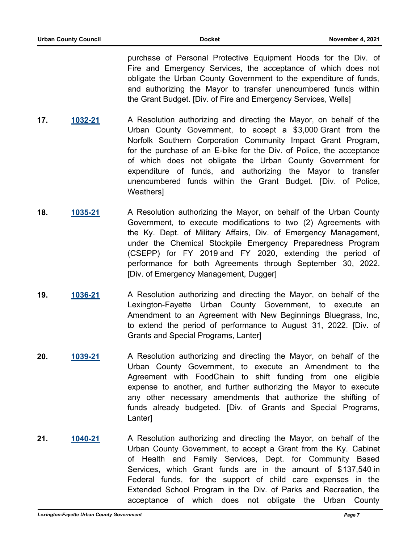purchase of Personal Protective Equipment Hoods for the Div. of Fire and Emergency Services, the acceptance of which does not obligate the Urban County Government to the expenditure of funds, and authorizing the Mayor to transfer unencumbered funds within the Grant Budget. [Div. of Fire and Emergency Services, Wells]

- **17. [1032-21](http://lexington.legistar.com/gateway.aspx?m=l&id=/matter.aspx?key=18016)** A Resolution authorizing and directing the Mayor, on behalf of the Urban County Government, to accept a \$3,000 Grant from the Norfolk Southern Corporation Community Impact Grant Program, for the purchase of an E-bike for the Div. of Police, the acceptance of which does not obligate the Urban County Government for expenditure of funds, and authorizing the Mayor to transfer unencumbered funds within the Grant Budget. [Div. of Police, Weathers]
- **18. [1035-21](http://lexington.legistar.com/gateway.aspx?m=l&id=/matter.aspx?key=18019)** A Resolution authorizing the Mayor, on behalf of the Urban County Government, to execute modifications to two (2) Agreements with the Ky. Dept. of Military Affairs, Div. of Emergency Management, under the Chemical Stockpile Emergency Preparedness Program (CSEPP) for FY 2019 and FY 2020, extending the period of performance for both Agreements through September 30, 2022. [Div. of Emergency Management, Dugger]
- **19. [1036-21](http://lexington.legistar.com/gateway.aspx?m=l&id=/matter.aspx?key=18020)** A Resolution authorizing and directing the Mayor, on behalf of the Lexington-Fayette Urban County Government, to execute an Amendment to an Agreement with New Beginnings Bluegrass, Inc, to extend the period of performance to August 31, 2022. [Div. of Grants and Special Programs, Lanter]
- **20. [1039-21](http://lexington.legistar.com/gateway.aspx?m=l&id=/matter.aspx?key=18023)** A Resolution authorizing and directing the Mayor, on behalf of the Urban County Government, to execute an Amendment to the Agreement with FoodChain to shift funding from one eligible expense to another, and further authorizing the Mayor to execute any other necessary amendments that authorize the shifting of funds already budgeted. [Div. of Grants and Special Programs, Lanter]
- **21. [1040-21](http://lexington.legistar.com/gateway.aspx?m=l&id=/matter.aspx?key=18024)** A Resolution authorizing and directing the Mayor, on behalf of the Urban County Government, to accept a Grant from the Ky. Cabinet of Health and Family Services, Dept. for Community Based Services, which Grant funds are in the amount of \$137,540 in Federal funds, for the support of child care expenses in the Extended School Program in the Div. of Parks and Recreation, the acceptance of which does not obligate the Urban County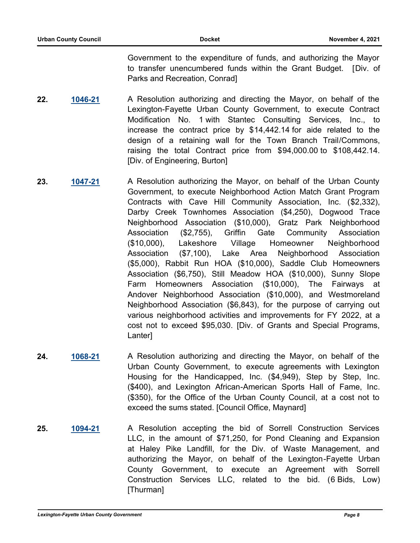Government to the expenditure of funds, and authorizing the Mayor to transfer unencumbered funds within the Grant Budget. [Div. of Parks and Recreation, Conrad]

- **22. [1046-21](http://lexington.legistar.com/gateway.aspx?m=l&id=/matter.aspx?key=18030)** A Resolution authorizing and directing the Mayor, on behalf of the Lexington-Fayette Urban County Government, to execute Contract Modification No. 1 with Stantec Consulting Services, Inc., to increase the contract price by \$14,442.14 for aide related to the design of a retaining wall for the Town Branch Trail/Commons, raising the total Contract price from \$94,000.00 to \$108,442.14. [Div. of Engineering, Burton]
- **23. [1047-21](http://lexington.legistar.com/gateway.aspx?m=l&id=/matter.aspx?key=18031)** A Resolution authorizing the Mayor, on behalf of the Urban County Government, to execute Neighborhood Action Match Grant Program Contracts with Cave Hill Community Association, Inc. (\$2,332), Darby Creek Townhomes Association (\$4,250), Dogwood Trace Neighborhood Association (\$10,000), Gratz Park Neighborhood Association (\$2,755), Griffin Gate Community Association (\$10,000), Lakeshore Village Homeowner Neighborhood Association (\$7,100), Lake Area Neighborhood Association (\$5,000), Rabbit Run HOA (\$10,000), Saddle Club Homeowners Association (\$6,750), Still Meadow HOA (\$10,000), Sunny Slope Farm Homeowners Association (\$10,000), The Fairways at Andover Neighborhood Association (\$10,000), and Westmoreland Neighborhood Association (\$6,843), for the purpose of carrying out various neighborhood activities and improvements for FY 2022, at a cost not to exceed \$95,030. [Div. of Grants and Special Programs, Lanter]
- **24. [1068-21](http://lexington.legistar.com/gateway.aspx?m=l&id=/matter.aspx?key=18052)** A Resolution authorizing and directing the Mayor, on behalf of the Urban County Government, to execute agreements with Lexington Housing for the Handicapped, Inc. (\$4,949), Step by Step, Inc. (\$400), and Lexington African-American Sports Hall of Fame, Inc. (\$350), for the Office of the Urban County Council, at a cost not to exceed the sums stated. [Council Office, Maynard]
- **25. [1094-21](http://lexington.legistar.com/gateway.aspx?m=l&id=/matter.aspx?key=18078)** A Resolution accepting the bid of Sorrell Construction Services LLC, in the amount of \$71,250, for Pond Cleaning and Expansion at Haley Pike Landfill, for the Div. of Waste Management, and authorizing the Mayor, on behalf of the Lexington-Fayette Urban County Government, to execute an Agreement with Sorrell Construction Services LLC, related to the bid. (6 Bids, Low) [Thurman]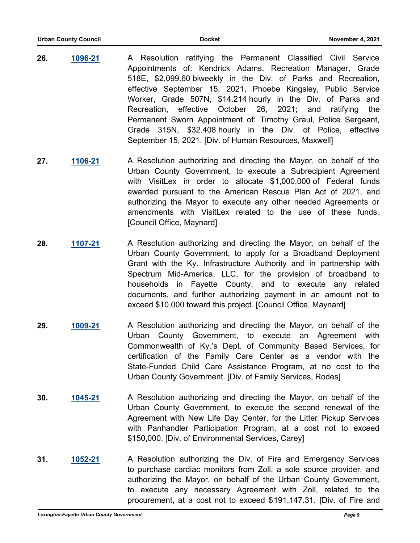- **26. [1096-21](http://lexington.legistar.com/gateway.aspx?m=l&id=/matter.aspx?key=18080)** A Resolution ratifying the Permanent Classified Civil Service Appointments of: Kendrick Adams, Recreation Manager, Grade 518E, \$2,099.60 biweekly in the Div. of Parks and Recreation, effective September 15, 2021, Phoebe Kingsley, Public Service Worker, Grade 507N, \$14.214 hourly in the Div. of Parks and Recreation, effective October 26, 2021; and ratifying the Permanent Sworn Appointment of: Timothy Graul, Police Sergeant, Grade 315N, \$32.408 hourly in the Div. of Police, effective September 15, 2021. [Div. of Human Resources, Maxwell]
- **27. [1106-21](http://lexington.legistar.com/gateway.aspx?m=l&id=/matter.aspx?key=18090)** A Resolution authorizing and directing the Mayor, on behalf of the Urban County Government, to execute a Subrecipient Agreement with VisitLex in order to allocate \$1,000,000 of Federal funds awarded pursuant to the American Rescue Plan Act of 2021, and authorizing the Mayor to execute any other needed Agreements or amendments with VisitLex related to the use of these funds. [Council Office, Maynard]
- **28. [1107-21](http://lexington.legistar.com/gateway.aspx?m=l&id=/matter.aspx?key=18091)** A Resolution authorizing and directing the Mayor, on behalf of the Urban County Government, to apply for a Broadband Deployment Grant with the Ky. Infrastructure Authority and in partnership with Spectrum Mid-America, LLC, for the provision of broadband to households in Fayette County, and to execute any related documents, and further authorizing payment in an amount not to exceed \$10,000 toward this project. [Council Office, Maynard]
- **29. [1009-21](http://lexington.legistar.com/gateway.aspx?m=l&id=/matter.aspx?key=17993)** A Resolution authorizing and directing the Mayor, on behalf of the Urban County Government, to execute an Agreement with Commonwealth of Ky.'s Dept. of Community Based Services, for certification of the Family Care Center as a vendor with the State-Funded Child Care Assistance Program, at no cost to the Urban County Government. [Div. of Family Services, Rodes]
- **30. [1045-21](http://lexington.legistar.com/gateway.aspx?m=l&id=/matter.aspx?key=18029)** A Resolution authorizing and directing the Mayor, on behalf of the Urban County Government, to execute the second renewal of the Agreement with New Life Day Center, for the Litter Pickup Services with Panhandler Participation Program, at a cost not to exceed \$150,000. [Div. of Environmental Services, Carey]
- **31. [1052-21](http://lexington.legistar.com/gateway.aspx?m=l&id=/matter.aspx?key=18036)** A Resolution authorizing the Div. of Fire and Emergency Services to purchase cardiac monitors from Zoll, a sole source provider, and authorizing the Mayor, on behalf of the Urban County Government, to execute any necessary Agreement with Zoll, related to the procurement, at a cost not to exceed \$191,147.31. [Div. of Fire and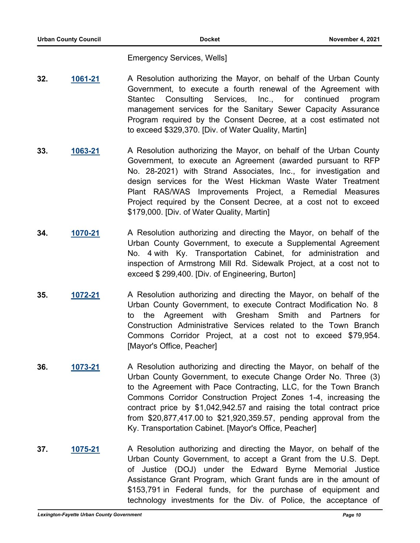Emergency Services, Wells]

- **32. [1061-21](http://lexington.legistar.com/gateway.aspx?m=l&id=/matter.aspx?key=18045)** A Resolution authorizing the Mayor, on behalf of the Urban County Government, to execute a fourth renewal of the Agreement with Stantec Consulting Services, Inc., for continued program management services for the Sanitary Sewer Capacity Assurance Program required by the Consent Decree, at a cost estimated not to exceed \$329,370. [Div. of Water Quality, Martin]
- **33. [1063-21](http://lexington.legistar.com/gateway.aspx?m=l&id=/matter.aspx?key=18047)** A Resolution authorizing the Mayor, on behalf of the Urban County Government, to execute an Agreement (awarded pursuant to RFP No. 28-2021) with Strand Associates, Inc., for investigation and design services for the West Hickman Waste Water Treatment Plant RAS/WAS Improvements Project, a Remedial Measures Project required by the Consent Decree, at a cost not to exceed \$179,000. [Div. of Water Quality, Martin]
- **34. [1070-21](http://lexington.legistar.com/gateway.aspx?m=l&id=/matter.aspx?key=18054)** A Resolution authorizing and directing the Mayor, on behalf of the Urban County Government, to execute a Supplemental Agreement No. 4 with Ky. Transportation Cabinet, for administration and inspection of Armstrong Mill Rd. Sidewalk Project, at a cost not to exceed \$ 299,400. [Div. of Engineering, Burton]
- **35. [1072-21](http://lexington.legistar.com/gateway.aspx?m=l&id=/matter.aspx?key=18056)** A Resolution authorizing and directing the Mayor, on behalf of the Urban County Government, to execute Contract Modification No. 8 to the Agreement with Gresham Smith and Partners for Construction Administrative Services related to the Town Branch Commons Corridor Project, at a cost not to exceed \$79,954. [Mayor's Office, Peacher]
- **36. [1073-21](http://lexington.legistar.com/gateway.aspx?m=l&id=/matter.aspx?key=18057)** A Resolution authorizing and directing the Mayor, on behalf of the Urban County Government, to execute Change Order No. Three (3) to the Agreement with Pace Contracting, LLC, for the Town Branch Commons Corridor Construction Project Zones 1-4, increasing the contract price by \$1,042,942.57 and raising the total contract price from \$20,877,417.00 to \$21,920,359.57, pending approval from the Ky. Transportation Cabinet. [Mayor's Office, Peacher]
- **37. [1075-21](http://lexington.legistar.com/gateway.aspx?m=l&id=/matter.aspx?key=18059)** A Resolution authorizing and directing the Mayor, on behalf of the Urban County Government, to accept a Grant from the U.S. Dept. of Justice (DOJ) under the Edward Byrne Memorial Justice Assistance Grant Program, which Grant funds are in the amount of \$153,791 in Federal funds, for the purchase of equipment and technology investments for the Div. of Police, the acceptance of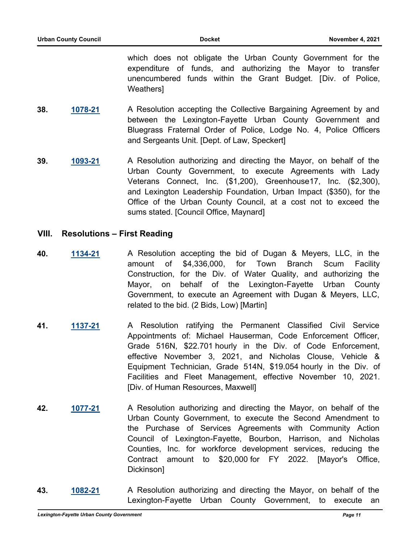which does not obligate the Urban County Government for the expenditure of funds, and authorizing the Mayor to transfer unencumbered funds within the Grant Budget. [Div. of Police, Weathers]

- **38. [1078-21](http://lexington.legistar.com/gateway.aspx?m=l&id=/matter.aspx?key=18062)** A Resolution accepting the Collective Bargaining Agreement by and between the Lexington-Fayette Urban County Government and Bluegrass Fraternal Order of Police, Lodge No. 4, Police Officers and Sergeants Unit. [Dept. of Law, Speckert]
- **39. [1093-21](http://lexington.legistar.com/gateway.aspx?m=l&id=/matter.aspx?key=18077)** A Resolution authorizing and directing the Mayor, on behalf of the Urban County Government, to execute Agreements with Lady Veterans Connect, Inc. (\$1,200), Greenhouse17, Inc. (\$2,300), and Lexington Leadership Foundation, Urban Impact (\$350), for the Office of the Urban County Council, at a cost not to exceed the sums stated. [Council Office, Maynard]

#### **VIII. Resolutions – First Reading**

- **40. [1134-21](http://lexington.legistar.com/gateway.aspx?m=l&id=/matter.aspx?key=18118)** A Resolution accepting the bid of Dugan & Meyers, LLC, in the amount of \$4,336,000, for Town Branch Scum Facility Construction, for the Div. of Water Quality, and authorizing the Mayor, on behalf of the Lexington-Fayette Urban County Government, to execute an Agreement with Dugan & Meyers, LLC, related to the bid. (2 Bids, Low) [Martin]
- **41. [1137-21](http://lexington.legistar.com/gateway.aspx?m=l&id=/matter.aspx?key=18121)** A Resolution ratifying the Permanent Classified Civil Service Appointments of: Michael Hauserman, Code Enforcement Officer, Grade 516N, \$22.701 hourly in the Div. of Code Enforcement, effective November 3, 2021, and Nicholas Clouse, Vehicle & Equipment Technician, Grade 514N, \$19.054 hourly in the Div. of Facilities and Fleet Management, effective November 10, 2021. [Div. of Human Resources, Maxwell]
- **42. [1077-21](http://lexington.legistar.com/gateway.aspx?m=l&id=/matter.aspx?key=18061)** A Resolution authorizing and directing the Mayor, on behalf of the Urban County Government, to execute the Second Amendment to the Purchase of Services Agreements with Community Action Council of Lexington-Fayette, Bourbon, Harrison, and Nicholas Counties, Inc. for workforce development services, reducing the Contract amount to \$20,000 for FY 2022. [Mayor's Office, Dickinson]
- **43. [1082-21](http://lexington.legistar.com/gateway.aspx?m=l&id=/matter.aspx?key=18066)** A Resolution authorizing and directing the Mayor, on behalf of the Lexington-Fayette Urban County Government, to execute an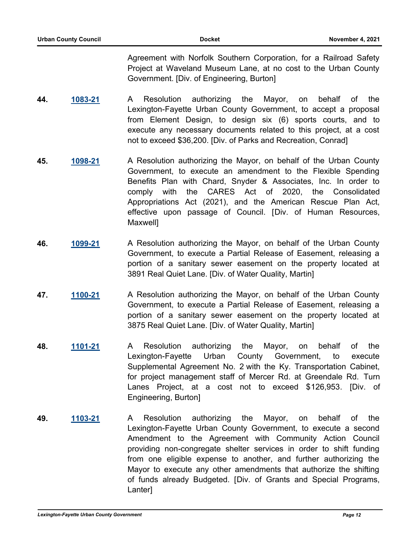Agreement with Norfolk Southern Corporation, for a Railroad Safety Project at Waveland Museum Lane, at no cost to the Urban County Government. [Div. of Engineering, Burton]

- **44. [1083-21](http://lexington.legistar.com/gateway.aspx?m=l&id=/matter.aspx?key=18067)** A Resolution authorizing the Mayor, on behalf of the Lexington-Fayette Urban County Government, to accept a proposal from Element Design, to design six (6) sports courts, and to execute any necessary documents related to this project, at a cost not to exceed \$36,200. [Div. of Parks and Recreation, Conrad]
- **45. [1098-21](http://lexington.legistar.com/gateway.aspx?m=l&id=/matter.aspx?key=18082)** A Resolution authorizing the Mayor, on behalf of the Urban County Government, to execute an amendment to the Flexible Spending Benefits Plan with Chard, Snyder & Associates, Inc. In order to comply with the CARES Act of 2020, the Consolidated Appropriations Act (2021), and the American Rescue Plan Act, effective upon passage of Council. [Div. of Human Resources, Maxwell]
- **46. [1099-21](http://lexington.legistar.com/gateway.aspx?m=l&id=/matter.aspx?key=18083)** A Resolution authorizing the Mayor, on behalf of the Urban County Government, to execute a Partial Release of Easement, releasing a portion of a sanitary sewer easement on the property located at 3891 Real Quiet Lane. [Div. of Water Quality, Martin]
- **47. [1100-21](http://lexington.legistar.com/gateway.aspx?m=l&id=/matter.aspx?key=18084)** A Resolution authorizing the Mayor, on behalf of the Urban County Government, to execute a Partial Release of Easement, releasing a portion of a sanitary sewer easement on the property located at 3875 Real Quiet Lane. [Div. of Water Quality, Martin]
- **48. [1101-21](http://lexington.legistar.com/gateway.aspx?m=l&id=/matter.aspx?key=18085)** A Resolution authorizing the Mayor, on behalf of the Lexington-Fayette Urban County Government, to execute Supplemental Agreement No. 2 with the Ky. Transportation Cabinet, for project management staff of Mercer Rd. at Greendale Rd. Turn Lanes Project, at a cost not to exceed \$126,953. [Div. of Engineering, Burton]
- **49. [1103-21](http://lexington.legistar.com/gateway.aspx?m=l&id=/matter.aspx?key=18087)** A Resolution authorizing the Mayor, on behalf of the Lexington-Fayette Urban County Government, to execute a second Amendment to the Agreement with Community Action Council providing non-congregate shelter services in order to shift funding from one eligible expense to another, and further authorizing the Mayor to execute any other amendments that authorize the shifting of funds already Budgeted. [Div. of Grants and Special Programs, Lanter]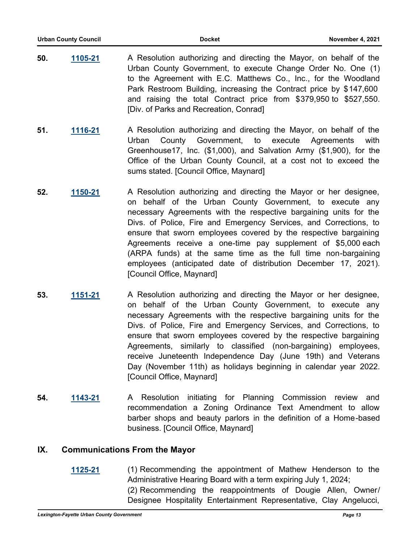- **50. [1105-21](http://lexington.legistar.com/gateway.aspx?m=l&id=/matter.aspx?key=18089)** A Resolution authorizing and directing the Mayor, on behalf of the Urban County Government, to execute Change Order No. One (1) to the Agreement with E.C. Matthews Co., Inc., for the Woodland Park Restroom Building, increasing the Contract price by \$147,600 and raising the total Contract price from \$379,950 to \$527,550. [Div. of Parks and Recreation, Conrad]
- **51. [1116-21](http://lexington.legistar.com/gateway.aspx?m=l&id=/matter.aspx?key=18100)** A Resolution authorizing and directing the Mayor, on behalf of the Urban County Government, to execute Agreements with Greenhouse17, Inc. (\$1,000), and Salvation Army (\$1,900), for the Office of the Urban County Council, at a cost not to exceed the sums stated. [Council Office, Maynard]
- **52. [1150-21](http://lexington.legistar.com/gateway.aspx?m=l&id=/matter.aspx?key=18134)** A Resolution authorizing and directing the Mayor or her designee, on behalf of the Urban County Government, to execute any necessary Agreements with the respective bargaining units for the Divs. of Police, Fire and Emergency Services, and Corrections, to ensure that sworn employees covered by the respective bargaining Agreements receive a one-time pay supplement of \$5,000 each (ARPA funds) at the same time as the full time non-bargaining employees (anticipated date of distribution December 17, 2021). [Council Office, Maynard]
- **53. [1151-21](http://lexington.legistar.com/gateway.aspx?m=l&id=/matter.aspx?key=18135)** A Resolution authorizing and directing the Mayor or her designee, on behalf of the Urban County Government, to execute any necessary Agreements with the respective bargaining units for the Divs. of Police, Fire and Emergency Services, and Corrections, to ensure that sworn employees covered by the respective bargaining Agreements, similarly to classified (non-bargaining) employees, receive Juneteenth Independence Day (June 19th) and Veterans Day (November 11th) as holidays beginning in calendar year 2022. [Council Office, Maynard]
- **54. [1143-21](http://lexington.legistar.com/gateway.aspx?m=l&id=/matter.aspx?key=18127)** A Resolution initiating for Planning Commission review and recommendation a Zoning Ordinance Text Amendment to allow barber shops and beauty parlors in the definition of a Home-based business. [Council Office, Maynard]

# **IX. Communications From the Mayor**

**[1125-21](http://lexington.legistar.com/gateway.aspx?m=l&id=/matter.aspx?key=18109)** (1) Recommending the appointment of Mathew Henderson to the Administrative Hearing Board with a term expiring July 1, 2024; (2) Recommending the reappointments of Dougie Allen, Owner/ Designee Hospitality Entertainment Representative, Clay Angelucci,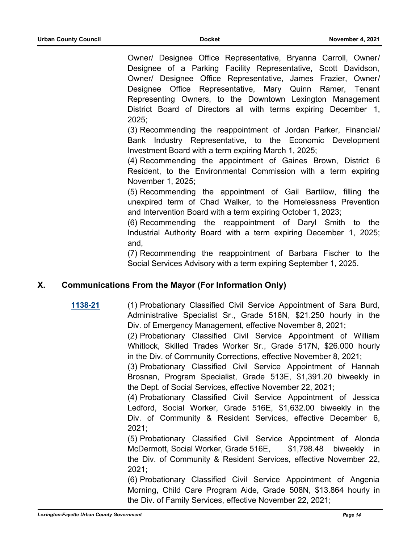Owner/ Designee Office Representative, Bryanna Carroll, Owner/ Designee of a Parking Facility Representative, Scott Davidson, Owner/ Designee Office Representative, James Frazier, Owner/ Designee Office Representative, Mary Quinn Ramer, Tenant Representing Owners, to the Downtown Lexington Management District Board of Directors all with terms expiring December 1, 2025;

(3) Recommending the reappointment of Jordan Parker, Financial/ Bank Industry Representative, to the Economic Development Investment Board with a term expiring March 1, 2025;

(4) Recommending the appointment of Gaines Brown, District 6 Resident, to the Environmental Commission with a term expiring November 1, 2025;

(5) Recommending the appointment of Gail Bartilow, filling the unexpired term of Chad Walker, to the Homelessness Prevention and Intervention Board with a term expiring October 1, 2023;

(6) Recommending the reappointment of Daryl Smith to the Industrial Authority Board with a term expiring December 1, 2025; and,

(7) Recommending the reappointment of Barbara Fischer to the Social Services Advisory with a term expiring September 1, 2025.

# **X. Communications From the Mayor (For Information Only)**

**[1138-21](http://lexington.legistar.com/gateway.aspx?m=l&id=/matter.aspx?key=18122)** (1) Probationary Classified Civil Service Appointment of Sara Burd, Administrative Specialist Sr., Grade 516N, \$21.250 hourly in the Div. of Emergency Management, effective November 8, 2021;

> (2) Probationary Classified Civil Service Appointment of William Whitlock, Skilled Trades Worker Sr., Grade 517N, \$26.000 hourly in the Div. of Community Corrections, effective November 8, 2021;

> (3) Probationary Classified Civil Service Appointment of Hannah Brosnan, Program Specialist, Grade 513E, \$1,391.20 biweekly in the Dept. of Social Services, effective November 22, 2021;

> (4) Probationary Classified Civil Service Appointment of Jessica Ledford, Social Worker, Grade 516E, \$1,632.00 biweekly in the Div. of Community & Resident Services, effective December 6, 2021;

> (5) Probationary Classified Civil Service Appointment of Alonda McDermott, Social Worker, Grade 516E, \$1,798.48 biweekly in the Div. of Community & Resident Services, effective November 22, 2021;

> (6) Probationary Classified Civil Service Appointment of Angenia Morning, Child Care Program Aide, Grade 508N, \$13.864 hourly in the Div. of Family Services, effective November 22, 2021;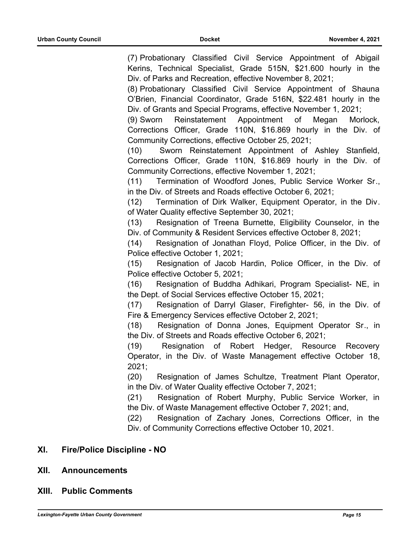(7) Probationary Classified Civil Service Appointment of Abigail Kerins, Technical Specialist, Grade 515N, \$21.600 hourly in the Div. of Parks and Recreation, effective November 8, 2021; (8) Probationary Classified Civil Service Appointment of Shauna O'Brien, Financial Coordinator, Grade 516N, \$22.481 hourly in the Div. of Grants and Special Programs, effective November 1, 2021; (9) Sworn Reinstatement Appointment of Megan Morlock, Corrections Officer, Grade 110N, \$16.869 hourly in the Div. of Community Corrections, effective October 25, 2021; (10) Sworn Reinstatement Appointment of Ashley Stanfield, Corrections Officer, Grade 110N, \$16.869 hourly in the Div. of Community Corrections, effective November 1, 2021; (11) Termination of Woodford Jones, Public Service Worker Sr., in the Div. of Streets and Roads effective October 6, 2021; (12) Termination of Dirk Walker, Equipment Operator, in the Div. of Water Quality effective September 30, 2021; (13) Resignation of Treena Burnette, Eligibility Counselor, in the Div. of Community & Resident Services effective October 8, 2021; (14) Resignation of Jonathan Floyd, Police Officer, in the Div. of Police effective October 1, 2021; (15) Resignation of Jacob Hardin, Police Officer, in the Div. of Police effective October 5, 2021; (16) Resignation of Buddha Adhikari, Program Specialist- NE, in the Dept. of Social Services effective October 15, 2021; (17) Resignation of Darryl Glaser, Firefighter- 56, in the Div. of Fire & Emergency Services effective October 2, 2021; (18) Resignation of Donna Jones, Equipment Operator Sr., in the Div. of Streets and Roads effective October 6, 2021; (19) Resignation of Robert Hedger, Resource Recovery Operator, in the Div. of Waste Management effective October 18, 2021; (20) Resignation of James Schultze, Treatment Plant Operator, in the Div. of Water Quality effective October 7, 2021; (21) Resignation of Robert Murphy, Public Service Worker, in the Div. of Waste Management effective October 7, 2021; and, (22) Resignation of Zachary Jones, Corrections Officer, in the Div. of Community Corrections effective October 10, 2021. **XI. Fire/Police Discipline - NO XII. Announcements XIII. Public Comments**